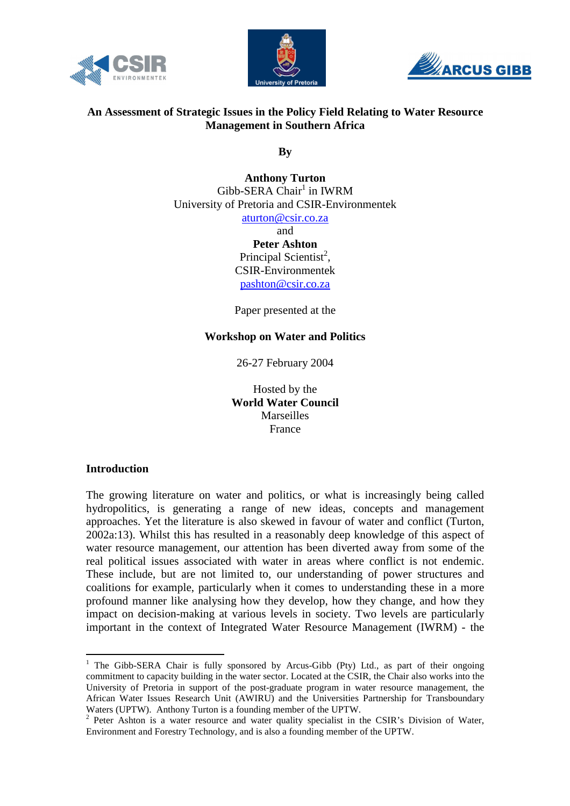





# **An Assessment of Strategic Issues in the Policy Field Relating to Water Resource Management in Southern Africa**

**By** 

**Anthony Turton**   $Gibb-SERA Chair<sup>1</sup>$  in IWRM University of Pretoria and CSIR-Environmentek aturton@csir.co.za and **Peter Ashton** 

Principal Scientist<sup>2</sup>, CSIR-Environmentek pashton@csir.co.za

Paper presented at the

**Workshop on Water and Politics** 

26-27 February 2004

Hosted by the **World Water Council Marseilles** France

### **Introduction**

 $\overline{a}$ 

The growing literature on water and politics, or what is increasingly being called hydropolitics, is generating a range of new ideas, concepts and management approaches. Yet the literature is also skewed in favour of water and conflict (Turton, 2002a:13). Whilst this has resulted in a reasonably deep knowledge of this aspect of water resource management, our attention has been diverted away from some of the real political issues associated with water in areas where conflict is not endemic. These include, but are not limited to, our understanding of power structures and coalitions for example, particularly when it comes to understanding these in a more profound manner like analysing how they develop, how they change, and how they impact on decision-making at various levels in society. Two levels are particularly important in the context of Integrated Water Resource Management (IWRM) - the

<sup>&</sup>lt;sup>1</sup> The Gibb-SERA Chair is fully sponsored by Arcus-Gibb (Pty) Ltd., as part of their ongoing commitment to capacity building in the water sector. Located at the CSIR, the Chair also works into the University of Pretoria in support of the post-graduate program in water resource management, the African Water Issues Research Unit (AWIRU) and the Universities Partnership for Transboundary Waters (UPTW). Anthony Turton is a founding member of the UPTW.

<sup>&</sup>lt;sup>2</sup> Peter Ashton is a water resource and water quality specialist in the CSIR's Division of Water, Environment and Forestry Technology, and is also a founding member of the UPTW.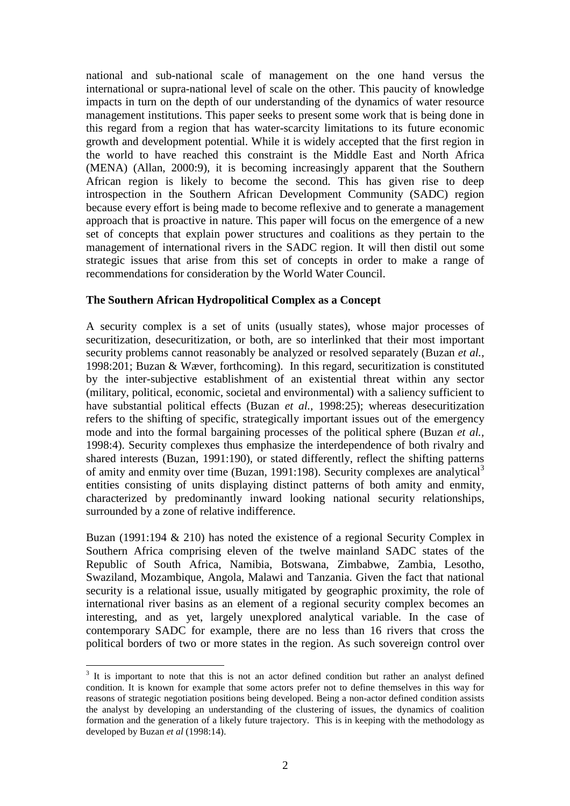national and sub-national scale of management on the one hand versus the international or supra-national level of scale on the other. This paucity of knowledge impacts in turn on the depth of our understanding of the dynamics of water resource management institutions. This paper seeks to present some work that is being done in this regard from a region that has water-scarcity limitations to its future economic growth and development potential. While it is widely accepted that the first region in the world to have reached this constraint is the Middle East and North Africa (MENA) (Allan, 2000:9), it is becoming increasingly apparent that the Southern African region is likely to become the second. This has given rise to deep introspection in the Southern African Development Community (SADC) region because every effort is being made to become reflexive and to generate a management approach that is proactive in nature. This paper will focus on the emergence of a new set of concepts that explain power structures and coalitions as they pertain to the management of international rivers in the SADC region. It will then distil out some strategic issues that arise from this set of concepts in order to make a range of recommendations for consideration by the World Water Council.

### **The Southern African Hydropolitical Complex as a Concept**

A security complex is a set of units (usually states), whose major processes of securitization, desecuritization, or both, are so interlinked that their most important security problems cannot reasonably be analyzed or resolved separately (Buzan *et al.,* 1998:201; Buzan & Wæver, forthcoming). In this regard, securitization is constituted by the inter-subjective establishment of an existential threat within any sector (military, political, economic, societal and environmental) with a saliency sufficient to have substantial political effects (Buzan *et al.,* 1998:25); whereas desecuritization refers to the shifting of specific, strategically important issues out of the emergency mode and into the formal bargaining processes of the political sphere (Buzan *et al.,* 1998:4). Security complexes thus emphasize the interdependence of both rivalry and shared interests (Buzan, 1991:190), or stated differently, reflect the shifting patterns of amity and enmity over time (Buzan, 1991:198). Security complexes are analytical<sup>3</sup> entities consisting of units displaying distinct patterns of both amity and enmity, characterized by predominantly inward looking national security relationships, surrounded by a zone of relative indifference.

Buzan (1991:194 & 210) has noted the existence of a regional Security Complex in Southern Africa comprising eleven of the twelve mainland SADC states of the Republic of South Africa, Namibia, Botswana, Zimbabwe, Zambia, Lesotho, Swaziland, Mozambique, Angola, Malawi and Tanzania. Given the fact that national security is a relational issue, usually mitigated by geographic proximity, the role of international river basins as an element of a regional security complex becomes an interesting, and as yet, largely unexplored analytical variable. In the case of contemporary SADC for example, there are no less than 16 rivers that cross the political borders of two or more states in the region. As such sovereign control over

 $\overline{a}$ 

 $3$  It is important to note that this is not an actor defined condition but rather an analyst defined condition. It is known for example that some actors prefer not to define themselves in this way for reasons of strategic negotiation positions being developed. Being a non-actor defined condition assists the analyst by developing an understanding of the clustering of issues, the dynamics of coalition formation and the generation of a likely future trajectory. This is in keeping with the methodology as developed by Buzan *et al* (1998:14).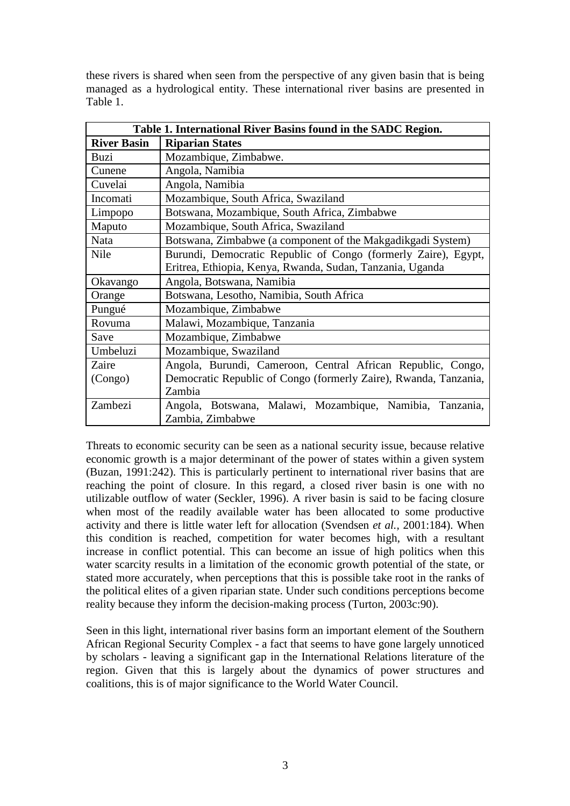these rivers is shared when seen from the perspective of any given basin that is being managed as a hydrological entity. These international river basins are presented in Table 1.

| Table 1. International River Basins found in the SADC Region. |                                                                  |  |  |  |  |  |  |  |
|---------------------------------------------------------------|------------------------------------------------------------------|--|--|--|--|--|--|--|
| <b>River Basin</b>                                            | <b>Riparian States</b>                                           |  |  |  |  |  |  |  |
| Buzi                                                          | Mozambique, Zimbabwe.                                            |  |  |  |  |  |  |  |
| Cunene                                                        | Angola, Namibia                                                  |  |  |  |  |  |  |  |
| Cuvelai                                                       | Angola, Namibia                                                  |  |  |  |  |  |  |  |
| Incomati                                                      | Mozambique, South Africa, Swaziland                              |  |  |  |  |  |  |  |
| Limpopo                                                       | Botswana, Mozambique, South Africa, Zimbabwe                     |  |  |  |  |  |  |  |
| Maputo                                                        | Mozambique, South Africa, Swaziland                              |  |  |  |  |  |  |  |
| Nata                                                          | Botswana, Zimbabwe (a component of the Makgadikgadi System)      |  |  |  |  |  |  |  |
| Nile                                                          | Burundi, Democratic Republic of Congo (formerly Zaire), Egypt,   |  |  |  |  |  |  |  |
|                                                               | Eritrea, Ethiopia, Kenya, Rwanda, Sudan, Tanzania, Uganda        |  |  |  |  |  |  |  |
| Okavango                                                      | Angola, Botswana, Namibia                                        |  |  |  |  |  |  |  |
| Orange                                                        | Botswana, Lesotho, Namibia, South Africa                         |  |  |  |  |  |  |  |
| Pungué                                                        | Mozambique, Zimbabwe                                             |  |  |  |  |  |  |  |
| Rovuma                                                        | Malawi, Mozambique, Tanzania                                     |  |  |  |  |  |  |  |
| Save                                                          | Mozambique, Zimbabwe                                             |  |  |  |  |  |  |  |
| Umbeluzi                                                      | Mozambique, Swaziland                                            |  |  |  |  |  |  |  |
| Zaire                                                         | Angola, Burundi, Cameroon, Central African Republic, Congo,      |  |  |  |  |  |  |  |
| (Congo)                                                       | Democratic Republic of Congo (formerly Zaire), Rwanda, Tanzania, |  |  |  |  |  |  |  |
|                                                               | Zambia                                                           |  |  |  |  |  |  |  |
| Zambezi                                                       | Angola, Botswana, Malawi, Mozambique, Namibia,<br>Tanzania,      |  |  |  |  |  |  |  |
|                                                               | Zambia, Zimbabwe                                                 |  |  |  |  |  |  |  |

Threats to economic security can be seen as a national security issue, because relative economic growth is a major determinant of the power of states within a given system (Buzan, 1991:242). This is particularly pertinent to international river basins that are reaching the point of closure. In this regard, a closed river basin is one with no utilizable outflow of water (Seckler, 1996). A river basin is said to be facing closure when most of the readily available water has been allocated to some productive activity and there is little water left for allocation (Svendsen *et al.,* 2001:184). When this condition is reached, competition for water becomes high, with a resultant increase in conflict potential. This can become an issue of high politics when this water scarcity results in a limitation of the economic growth potential of the state, or stated more accurately, when perceptions that this is possible take root in the ranks of the political elites of a given riparian state. Under such conditions perceptions become reality because they inform the decision-making process (Turton, 2003c:90).

Seen in this light, international river basins form an important element of the Southern African Regional Security Complex - a fact that seems to have gone largely unnoticed by scholars - leaving a significant gap in the International Relations literature of the region. Given that this is largely about the dynamics of power structures and coalitions, this is of major significance to the World Water Council.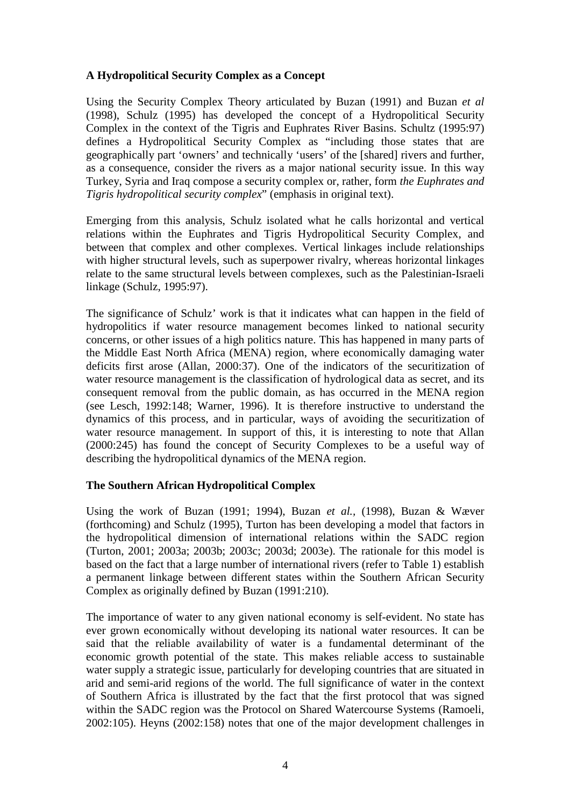# **A Hydropolitical Security Complex as a Concept**

Using the Security Complex Theory articulated by Buzan (1991) and Buzan *et al* (1998), Schulz (1995) has developed the concept of a Hydropolitical Security Complex in the context of the Tigris and Euphrates River Basins. Schultz (1995:97) defines a Hydropolitical Security Complex as "including those states that are geographically part 'owners' and technically 'users' of the [shared] rivers and further, as a consequence, consider the rivers as a major national security issue. In this way Turkey, Syria and Iraq compose a security complex or, rather, form *the Euphrates and Tigris hydropolitical security complex*" (emphasis in original text).

Emerging from this analysis, Schulz isolated what he calls horizontal and vertical relations within the Euphrates and Tigris Hydropolitical Security Complex, and between that complex and other complexes. Vertical linkages include relationships with higher structural levels, such as superpower rivalry, whereas horizontal linkages relate to the same structural levels between complexes, such as the Palestinian-Israeli linkage (Schulz, 1995:97).

The significance of Schulz' work is that it indicates what can happen in the field of hydropolitics if water resource management becomes linked to national security concerns, or other issues of a high politics nature. This has happened in many parts of the Middle East North Africa (MENA) region, where economically damaging water deficits first arose (Allan, 2000:37). One of the indicators of the securitization of water resource management is the classification of hydrological data as secret, and its consequent removal from the public domain, as has occurred in the MENA region (see Lesch, 1992:148; Warner, 1996). It is therefore instructive to understand the dynamics of this process, and in particular, ways of avoiding the securitization of water resource management. In support of this, it is interesting to note that Allan (2000:245) has found the concept of Security Complexes to be a useful way of describing the hydropolitical dynamics of the MENA region.

# **The Southern African Hydropolitical Complex**

Using the work of Buzan (1991; 1994), Buzan *et al.,* (1998), Buzan & Wæver (forthcoming) and Schulz (1995), Turton has been developing a model that factors in the hydropolitical dimension of international relations within the SADC region (Turton, 2001; 2003a; 2003b; 2003c; 2003d; 2003e). The rationale for this model is based on the fact that a large number of international rivers (refer to Table 1) establish a permanent linkage between different states within the Southern African Security Complex as originally defined by Buzan (1991:210).

The importance of water to any given national economy is self-evident. No state has ever grown economically without developing its national water resources. It can be said that the reliable availability of water is a fundamental determinant of the economic growth potential of the state. This makes reliable access to sustainable water supply a strategic issue, particularly for developing countries that are situated in arid and semi-arid regions of the world. The full significance of water in the context of Southern Africa is illustrated by the fact that the first protocol that was signed within the SADC region was the Protocol on Shared Watercourse Systems (Ramoeli, 2002:105). Heyns (2002:158) notes that one of the major development challenges in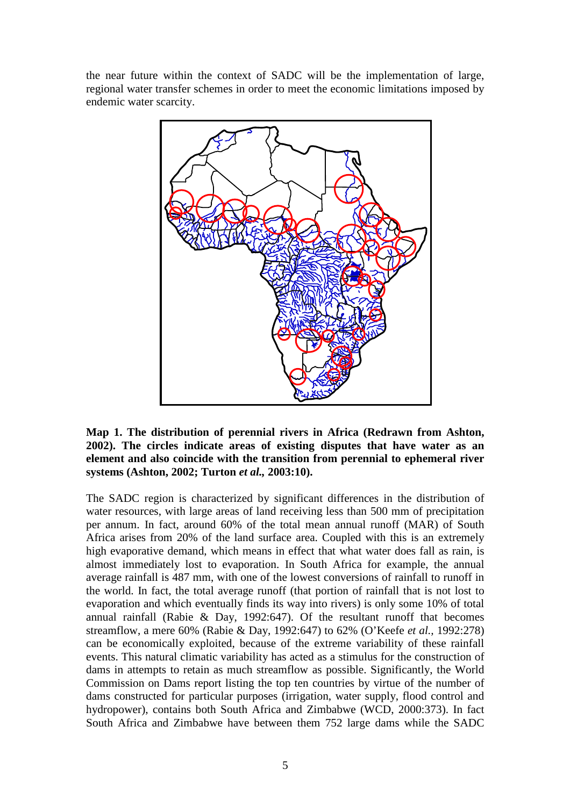the near future within the context of SADC will be the implementation of large, regional water transfer schemes in order to meet the economic limitations imposed by endemic water scarcity.



**Map 1. The distribution of perennial rivers in Africa (Redrawn from Ashton, 2002). The circles indicate areas of existing disputes that have water as an element and also coincide with the transition from perennial to ephemeral river systems (Ashton, 2002; Turton** *et al.,* **2003:10).** 

The SADC region is characterized by significant differences in the distribution of water resources, with large areas of land receiving less than 500 mm of precipitation per annum. In fact, around 60% of the total mean annual runoff (MAR) of South Africa arises from 20% of the land surface area. Coupled with this is an extremely high evaporative demand, which means in effect that what water does fall as rain, is almost immediately lost to evaporation. In South Africa for example, the annual average rainfall is 487 mm, with one of the lowest conversions of rainfall to runoff in the world. In fact, the total average runoff (that portion of rainfall that is not lost to evaporation and which eventually finds its way into rivers) is only some 10% of total annual rainfall (Rabie & Day, 1992:647). Of the resultant runoff that becomes streamflow, a mere 60% (Rabie & Day, 1992:647) to 62% (O'Keefe *et al.,* 1992:278) can be economically exploited, because of the extreme variability of these rainfall events. This natural climatic variability has acted as a stimulus for the construction of dams in attempts to retain as much streamflow as possible. Significantly, the World Commission on Dams report listing the top ten countries by virtue of the number of dams constructed for particular purposes (irrigation, water supply, flood control and hydropower), contains both South Africa and Zimbabwe (WCD, 2000:373). In fact South Africa and Zimbabwe have between them 752 large dams while the SADC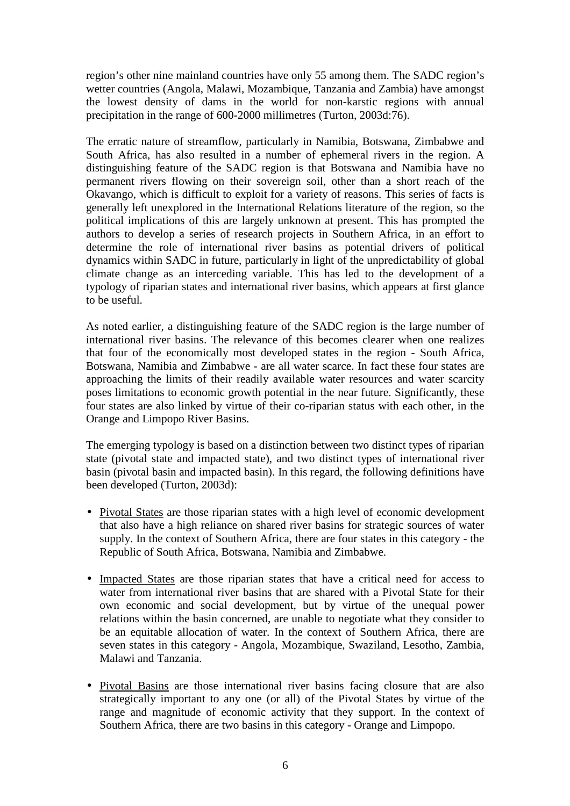region's other nine mainland countries have only 55 among them. The SADC region's wetter countries (Angola, Malawi, Mozambique, Tanzania and Zambia) have amongst the lowest density of dams in the world for non-karstic regions with annual precipitation in the range of 600-2000 millimetres (Turton, 2003d:76).

The erratic nature of streamflow, particularly in Namibia, Botswana, Zimbabwe and South Africa, has also resulted in a number of ephemeral rivers in the region. A distinguishing feature of the SADC region is that Botswana and Namibia have no permanent rivers flowing on their sovereign soil, other than a short reach of the Okavango, which is difficult to exploit for a variety of reasons. This series of facts is generally left unexplored in the International Relations literature of the region, so the political implications of this are largely unknown at present. This has prompted the authors to develop a series of research projects in Southern Africa, in an effort to determine the role of international river basins as potential drivers of political dynamics within SADC in future, particularly in light of the unpredictability of global climate change as an interceding variable. This has led to the development of a typology of riparian states and international river basins, which appears at first glance to be useful.

As noted earlier, a distinguishing feature of the SADC region is the large number of international river basins. The relevance of this becomes clearer when one realizes that four of the economically most developed states in the region - South Africa, Botswana, Namibia and Zimbabwe - are all water scarce. In fact these four states are approaching the limits of their readily available water resources and water scarcity poses limitations to economic growth potential in the near future. Significantly, these four states are also linked by virtue of their co-riparian status with each other, in the Orange and Limpopo River Basins.

The emerging typology is based on a distinction between two distinct types of riparian state (pivotal state and impacted state), and two distinct types of international river basin (pivotal basin and impacted basin). In this regard, the following definitions have been developed (Turton, 2003d):

- Pivotal States are those riparian states with a high level of economic development that also have a high reliance on shared river basins for strategic sources of water supply. In the context of Southern Africa, there are four states in this category - the Republic of South Africa, Botswana, Namibia and Zimbabwe.
- Impacted States are those riparian states that have a critical need for access to water from international river basins that are shared with a Pivotal State for their own economic and social development, but by virtue of the unequal power relations within the basin concerned, are unable to negotiate what they consider to be an equitable allocation of water. In the context of Southern Africa, there are seven states in this category - Angola, Mozambique, Swaziland, Lesotho, Zambia, Malawi and Tanzania.
- Pivotal Basins are those international river basins facing closure that are also strategically important to any one (or all) of the Pivotal States by virtue of the range and magnitude of economic activity that they support. In the context of Southern Africa, there are two basins in this category - Orange and Limpopo.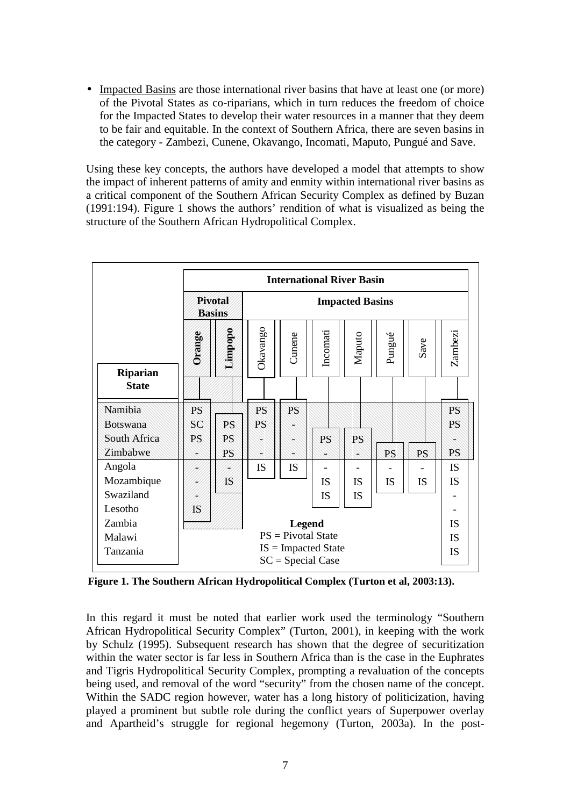• Impacted Basins are those international river basins that have at least one (or more) of the Pivotal States as co-riparians, which in turn reduces the freedom of choice for the Impacted States to develop their water resources in a manner that they deem to be fair and equitable. In the context of Southern Africa, there are seven basins in the category - Zambezi, Cunene, Okavango, Incomati, Maputo, Pungué and Save.

Using these key concepts, the authors have developed a model that attempts to show the impact of inherent patterns of amity and enmity within international river basins as a critical component of the Southern African Security Complex as defined by Buzan (1991:194). Figure 1 shows the authors' rendition of what is visualized as being the structure of the Southern African Hydropolitical Complex.

|                                 | <b>International River Basin</b>             |           |                        |           |           |           |        |           |           |
|---------------------------------|----------------------------------------------|-----------|------------------------|-----------|-----------|-----------|--------|-----------|-----------|
|                                 | <b>Pivotal</b><br><b>Basins</b>              |           | <b>Impacted Basins</b> |           |           |           |        |           |           |
| <b>Riparian</b><br><b>State</b> | Orange                                       | Limpopo   | Okavango               | Cunene    | Incomati  | Maputo    | Pungué | Save      | Zambezi   |
| Namibia                         | PS                                           |           | PS                     | PS        |           |           |        |           | PS        |
| <b>Botswana</b>                 | SC                                           | PS        | PS                     |           |           |           |        |           | PS        |
| South Africa                    | PS                                           | PS        |                        |           | PS        | PS        |        |           |           |
| Zimbabwe                        |                                              | PS        |                        |           |           |           | PS     | PS        | PS        |
| Angola                          |                                              |           | <b>IS</b>              | <b>IS</b> |           |           |        |           | <b>IS</b> |
| Mozambique                      |                                              | <b>IS</b> |                        |           | IS        | <b>IS</b> | IS     | IS        | <b>IS</b> |
| Swaziland                       |                                              |           |                        |           | <b>IS</b> | <b>IS</b> |        |           |           |
| Lesotho                         | IS                                           |           |                        |           |           |           |        |           |           |
| Zambia                          | <b>Legend</b>                                |           |                        |           |           |           |        | <b>IS</b> |           |
| Malawi                          | $PS = Pivotal State$                         |           |                        |           |           |           |        |           | <b>IS</b> |
| Tanzania                        | $IS = Impacted State$<br>$SC = Special Case$ |           |                        |           |           |           |        | <b>IS</b> |           |

**Figure 1. The Southern African Hydropolitical Complex (Turton et al, 2003:13).** 

In this regard it must be noted that earlier work used the terminology "Southern African Hydropolitical Security Complex" (Turton, 2001), in keeping with the work by Schulz (1995). Subsequent research has shown that the degree of securitization within the water sector is far less in Southern Africa than is the case in the Euphrates and Tigris Hydropolitical Security Complex, prompting a revaluation of the concepts being used, and removal of the word "security" from the chosen name of the concept. Within the SADC region however, water has a long history of politicization, having played a prominent but subtle role during the conflict years of Superpower overlay and Apartheid's struggle for regional hegemony (Turton, 2003a). In the post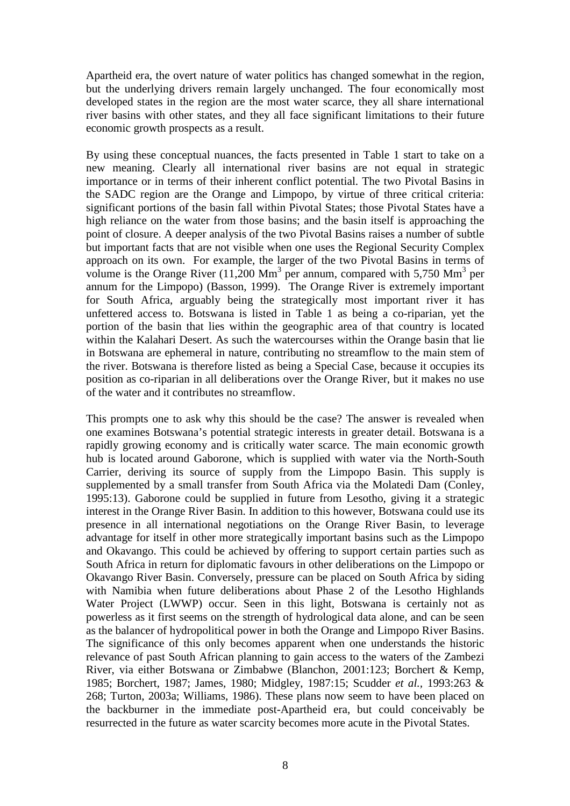Apartheid era, the overt nature of water politics has changed somewhat in the region, but the underlying drivers remain largely unchanged. The four economically most developed states in the region are the most water scarce, they all share international river basins with other states, and they all face significant limitations to their future economic growth prospects as a result.

By using these conceptual nuances, the facts presented in Table 1 start to take on a new meaning. Clearly all international river basins are not equal in strategic importance or in terms of their inherent conflict potential. The two Pivotal Basins in the SADC region are the Orange and Limpopo, by virtue of three critical criteria: significant portions of the basin fall within Pivotal States; those Pivotal States have a high reliance on the water from those basins; and the basin itself is approaching the point of closure. A deeper analysis of the two Pivotal Basins raises a number of subtle but important facts that are not visible when one uses the Regional Security Complex approach on its own. For example, the larger of the two Pivotal Basins in terms of volume is the Orange River  $(11,200 \text{ Mm}^3)$  per annum, compared with 5,750 Mm<sup>3</sup> per annum for the Limpopo) (Basson, 1999). The Orange River is extremely important for South Africa, arguably being the strategically most important river it has unfettered access to. Botswana is listed in Table 1 as being a co-riparian, yet the portion of the basin that lies within the geographic area of that country is located within the Kalahari Desert. As such the watercourses within the Orange basin that lie in Botswana are ephemeral in nature, contributing no streamflow to the main stem of the river. Botswana is therefore listed as being a Special Case, because it occupies its position as co-riparian in all deliberations over the Orange River, but it makes no use of the water and it contributes no streamflow.

This prompts one to ask why this should be the case? The answer is revealed when one examines Botswana's potential strategic interests in greater detail. Botswana is a rapidly growing economy and is critically water scarce. The main economic growth hub is located around Gaborone, which is supplied with water via the North-South Carrier, deriving its source of supply from the Limpopo Basin. This supply is supplemented by a small transfer from South Africa via the Molatedi Dam (Conley, 1995:13). Gaborone could be supplied in future from Lesotho, giving it a strategic interest in the Orange River Basin. In addition to this however, Botswana could use its presence in all international negotiations on the Orange River Basin, to leverage advantage for itself in other more strategically important basins such as the Limpopo and Okavango. This could be achieved by offering to support certain parties such as South Africa in return for diplomatic favours in other deliberations on the Limpopo or Okavango River Basin. Conversely, pressure can be placed on South Africa by siding with Namibia when future deliberations about Phase 2 of the Lesotho Highlands Water Project (LWWP) occur. Seen in this light, Botswana is certainly not as powerless as it first seems on the strength of hydrological data alone, and can be seen as the balancer of hydropolitical power in both the Orange and Limpopo River Basins. The significance of this only becomes apparent when one understands the historic relevance of past South African planning to gain access to the waters of the Zambezi River, via either Botswana or Zimbabwe (Blanchon, 2001:123; Borchert & Kemp, 1985; Borchert, 1987; James, 1980; Midgley, 1987:15; Scudder *et al.,* 1993:263 & 268; Turton, 2003a; Williams, 1986). These plans now seem to have been placed on the backburner in the immediate post-Apartheid era, but could conceivably be resurrected in the future as water scarcity becomes more acute in the Pivotal States.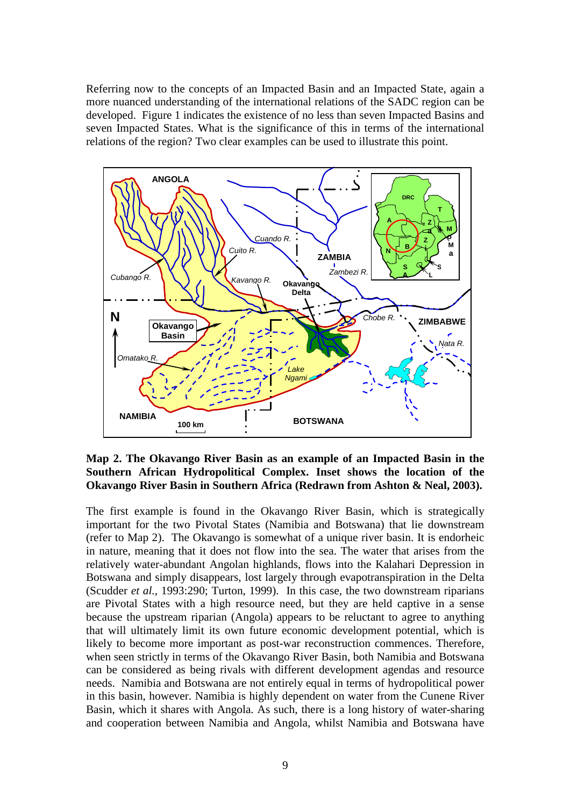Referring now to the concepts of an Impacted Basin and an Impacted State, again a more nuanced understanding of the international relations of the SADC region can be developed. Figure 1 indicates the existence of no less than seven Impacted Basins and seven Impacted States. What is the significance of this in terms of the international relations of the region? Two clear examples can be used to illustrate this point.



**Map 2. The Okavango River Basin as an example of an Impacted Basin in the Southern African Hydropolitical Complex. Inset shows the location of the Okavango River Basin in Southern Africa (Redrawn from Ashton & Neal, 2003).** 

The first example is found in the Okavango River Basin, which is strategically important for the two Pivotal States (Namibia and Botswana) that lie downstream (refer to Map 2). The Okavango is somewhat of a unique river basin. It is endorheic in nature, meaning that it does not flow into the sea. The water that arises from the relatively water-abundant Angolan highlands, flows into the Kalahari Depression in Botswana and simply disappears, lost largely through evapotranspiration in the Delta (Scudder *et al.,* 1993:290; Turton, 1999). In this case, the two downstream riparians are Pivotal States with a high resource need, but they are held captive in a sense because the upstream riparian (Angola) appears to be reluctant to agree to anything that will ultimately limit its own future economic development potential, which is likely to become more important as post-war reconstruction commences. Therefore, when seen strictly in terms of the Okavango River Basin, both Namibia and Botswana can be considered as being rivals with different development agendas and resource needs. Namibia and Botswana are not entirely equal in terms of hydropolitical power in this basin, however. Namibia is highly dependent on water from the Cunene River Basin, which it shares with Angola. As such, there is a long history of water-sharing and cooperation between Namibia and Angola, whilst Namibia and Botswana have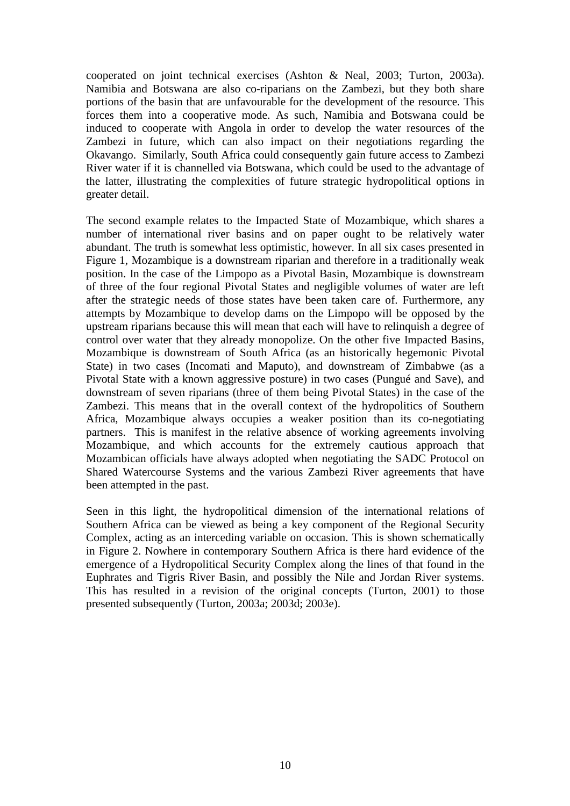cooperated on joint technical exercises (Ashton & Neal, 2003; Turton, 2003a). Namibia and Botswana are also co-riparians on the Zambezi, but they both share portions of the basin that are unfavourable for the development of the resource. This forces them into a cooperative mode. As such, Namibia and Botswana could be induced to cooperate with Angola in order to develop the water resources of the Zambezi in future, which can also impact on their negotiations regarding the Okavango. Similarly, South Africa could consequently gain future access to Zambezi River water if it is channelled via Botswana, which could be used to the advantage of the latter, illustrating the complexities of future strategic hydropolitical options in greater detail.

The second example relates to the Impacted State of Mozambique, which shares a number of international river basins and on paper ought to be relatively water abundant. The truth is somewhat less optimistic, however. In all six cases presented in Figure 1, Mozambique is a downstream riparian and therefore in a traditionally weak position. In the case of the Limpopo as a Pivotal Basin, Mozambique is downstream of three of the four regional Pivotal States and negligible volumes of water are left after the strategic needs of those states have been taken care of. Furthermore, any attempts by Mozambique to develop dams on the Limpopo will be opposed by the upstream riparians because this will mean that each will have to relinquish a degree of control over water that they already monopolize. On the other five Impacted Basins, Mozambique is downstream of South Africa (as an historically hegemonic Pivotal State) in two cases (Incomati and Maputo), and downstream of Zimbabwe (as a Pivotal State with a known aggressive posture) in two cases (Pungué and Save), and downstream of seven riparians (three of them being Pivotal States) in the case of the Zambezi. This means that in the overall context of the hydropolitics of Southern Africa, Mozambique always occupies a weaker position than its co-negotiating partners. This is manifest in the relative absence of working agreements involving Mozambique, and which accounts for the extremely cautious approach that Mozambican officials have always adopted when negotiating the SADC Protocol on Shared Watercourse Systems and the various Zambezi River agreements that have been attempted in the past.

Seen in this light, the hydropolitical dimension of the international relations of Southern Africa can be viewed as being a key component of the Regional Security Complex, acting as an interceding variable on occasion. This is shown schematically in Figure 2. Nowhere in contemporary Southern Africa is there hard evidence of the emergence of a Hydropolitical Security Complex along the lines of that found in the Euphrates and Tigris River Basin, and possibly the Nile and Jordan River systems. This has resulted in a revision of the original concepts (Turton, 2001) to those presented subsequently (Turton, 2003a; 2003d; 2003e).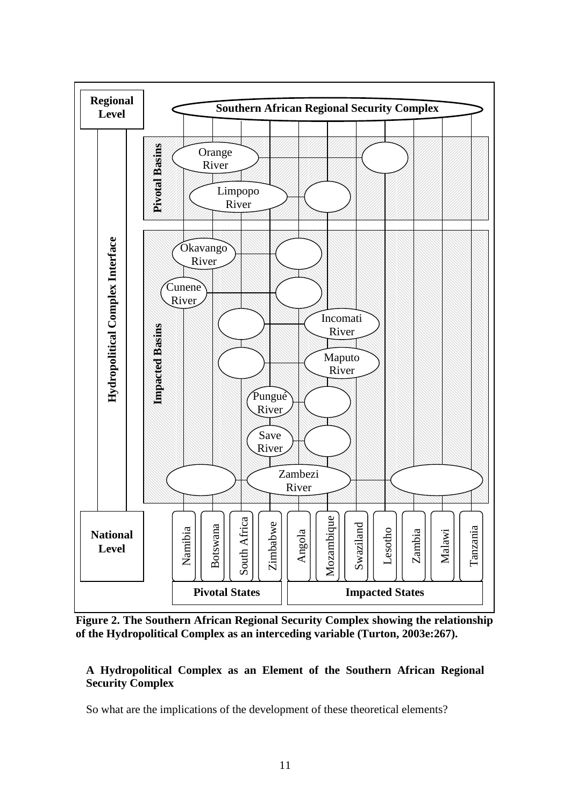

**Figure 2. The Southern African Regional Security Complex showing the relationship** 

# **A Hydropolitical Complex as an Element of the Southern African Regional Security Complex**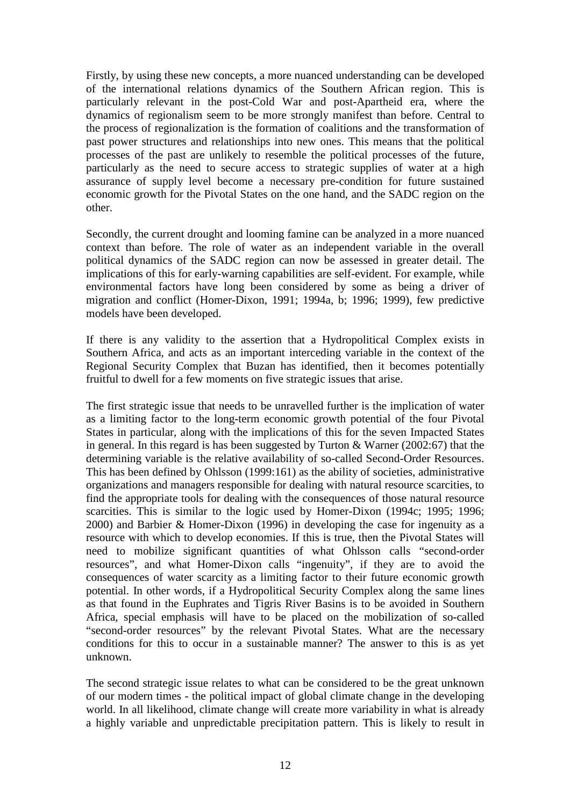Firstly, by using these new concepts, a more nuanced understanding can be developed of the international relations dynamics of the Southern African region. This is particularly relevant in the post-Cold War and post-Apartheid era, where the dynamics of regionalism seem to be more strongly manifest than before. Central to the process of regionalization is the formation of coalitions and the transformation of past power structures and relationships into new ones. This means that the political processes of the past are unlikely to resemble the political processes of the future, particularly as the need to secure access to strategic supplies of water at a high assurance of supply level become a necessary pre-condition for future sustained economic growth for the Pivotal States on the one hand, and the SADC region on the other.

Secondly, the current drought and looming famine can be analyzed in a more nuanced context than before. The role of water as an independent variable in the overall political dynamics of the SADC region can now be assessed in greater detail. The implications of this for early-warning capabilities are self-evident. For example, while environmental factors have long been considered by some as being a driver of migration and conflict (Homer-Dixon, 1991; 1994a, b; 1996; 1999), few predictive models have been developed.

If there is any validity to the assertion that a Hydropolitical Complex exists in Southern Africa, and acts as an important interceding variable in the context of the Regional Security Complex that Buzan has identified, then it becomes potentially fruitful to dwell for a few moments on five strategic issues that arise.

The first strategic issue that needs to be unravelled further is the implication of water as a limiting factor to the long-term economic growth potential of the four Pivotal States in particular, along with the implications of this for the seven Impacted States in general. In this regard is has been suggested by Turton & Warner (2002:67) that the determining variable is the relative availability of so-called Second-Order Resources. This has been defined by Ohlsson (1999:161) as the ability of societies, administrative organizations and managers responsible for dealing with natural resource scarcities, to find the appropriate tools for dealing with the consequences of those natural resource scarcities. This is similar to the logic used by Homer-Dixon (1994c; 1995; 1996; 2000) and Barbier & Homer-Dixon (1996) in developing the case for ingenuity as a resource with which to develop economies. If this is true, then the Pivotal States will need to mobilize significant quantities of what Ohlsson calls "second-order resources", and what Homer-Dixon calls "ingenuity", if they are to avoid the consequences of water scarcity as a limiting factor to their future economic growth potential. In other words, if a Hydropolitical Security Complex along the same lines as that found in the Euphrates and Tigris River Basins is to be avoided in Southern Africa, special emphasis will have to be placed on the mobilization of so-called "second-order resources" by the relevant Pivotal States. What are the necessary conditions for this to occur in a sustainable manner? The answer to this is as yet unknown.

The second strategic issue relates to what can be considered to be the great unknown of our modern times - the political impact of global climate change in the developing world. In all likelihood, climate change will create more variability in what is already a highly variable and unpredictable precipitation pattern. This is likely to result in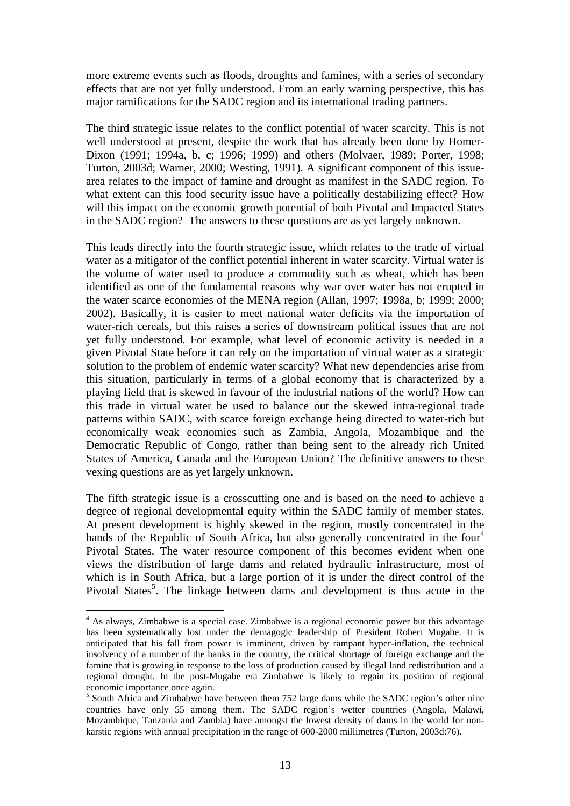more extreme events such as floods, droughts and famines, with a series of secondary effects that are not yet fully understood. From an early warning perspective, this has major ramifications for the SADC region and its international trading partners.

The third strategic issue relates to the conflict potential of water scarcity. This is not well understood at present, despite the work that has already been done by Homer-Dixon (1991; 1994a, b, c; 1996; 1999) and others (Molvaer, 1989; Porter, 1998; Turton, 2003d; Warner, 2000; Westing, 1991). A significant component of this issuearea relates to the impact of famine and drought as manifest in the SADC region. To what extent can this food security issue have a politically destabilizing effect? How will this impact on the economic growth potential of both Pivotal and Impacted States in the SADC region? The answers to these questions are as yet largely unknown.

This leads directly into the fourth strategic issue, which relates to the trade of virtual water as a mitigator of the conflict potential inherent in water scarcity. Virtual water is the volume of water used to produce a commodity such as wheat, which has been identified as one of the fundamental reasons why war over water has not erupted in the water scarce economies of the MENA region (Allan, 1997; 1998a, b; 1999; 2000; 2002). Basically, it is easier to meet national water deficits via the importation of water-rich cereals, but this raises a series of downstream political issues that are not yet fully understood. For example, what level of economic activity is needed in a given Pivotal State before it can rely on the importation of virtual water as a strategic solution to the problem of endemic water scarcity? What new dependencies arise from this situation, particularly in terms of a global economy that is characterized by a playing field that is skewed in favour of the industrial nations of the world? How can this trade in virtual water be used to balance out the skewed intra-regional trade patterns within SADC, with scarce foreign exchange being directed to water-rich but economically weak economies such as Zambia, Angola, Mozambique and the Democratic Republic of Congo, rather than being sent to the already rich United States of America, Canada and the European Union? The definitive answers to these vexing questions are as yet largely unknown.

The fifth strategic issue is a crosscutting one and is based on the need to achieve a degree of regional developmental equity within the SADC family of member states. At present development is highly skewed in the region, mostly concentrated in the hands of the Republic of South Africa, but also generally concentrated in the four<sup>4</sup> Pivotal States. The water resource component of this becomes evident when one views the distribution of large dams and related hydraulic infrastructure, most of which is in South Africa, but a large portion of it is under the direct control of the Pivotal States<sup>5</sup>. The linkage between dams and development is thus acute in the

 $\overline{a}$ 

<sup>&</sup>lt;sup>4</sup> As always, Zimbabwe is a special case. Zimbabwe is a regional economic power but this advantage has been systematically lost under the demagogic leadership of President Robert Mugabe. It is anticipated that his fall from power is imminent, driven by rampant hyper-inflation, the technical insolvency of a number of the banks in the country, the critical shortage of foreign exchange and the famine that is growing in response to the loss of production caused by illegal land redistribution and a regional drought. In the post-Mugabe era Zimbabwe is likely to regain its position of regional economic importance once again.

<sup>&</sup>lt;sup>5</sup> South Africa and Zimbabwe have between them 752 large dams while the SADC region's other nine countries have only 55 among them. The SADC region's wetter countries (Angola, Malawi, Mozambique, Tanzania and Zambia) have amongst the lowest density of dams in the world for nonkarstic regions with annual precipitation in the range of 600-2000 millimetres (Turton, 2003d:76).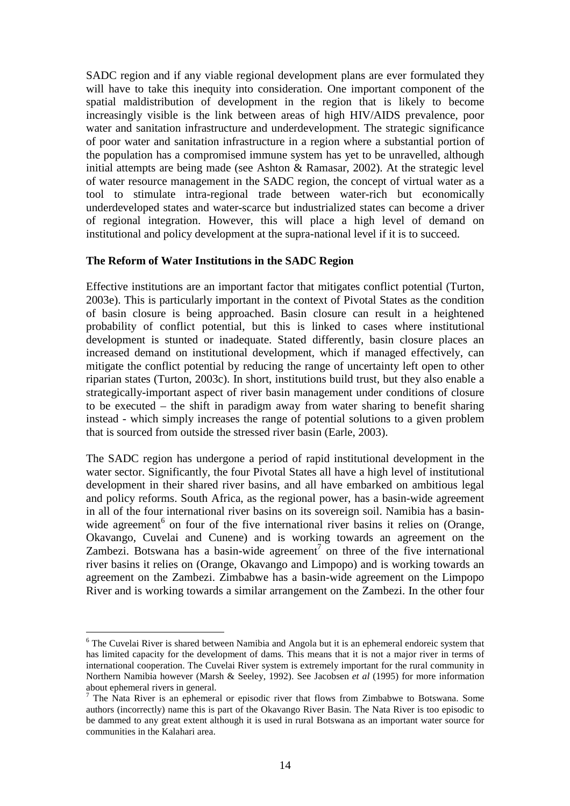SADC region and if any viable regional development plans are ever formulated they will have to take this inequity into consideration. One important component of the spatial maldistribution of development in the region that is likely to become increasingly visible is the link between areas of high HIV/AIDS prevalence, poor water and sanitation infrastructure and underdevelopment. The strategic significance of poor water and sanitation infrastructure in a region where a substantial portion of the population has a compromised immune system has yet to be unravelled, although initial attempts are being made (see Ashton & Ramasar, 2002). At the strategic level of water resource management in the SADC region, the concept of virtual water as a tool to stimulate intra-regional trade between water-rich but economically underdeveloped states and water-scarce but industrialized states can become a driver of regional integration. However, this will place a high level of demand on institutional and policy development at the supra-national level if it is to succeed.

### **The Reform of Water Institutions in the SADC Region**

Effective institutions are an important factor that mitigates conflict potential (Turton, 2003e). This is particularly important in the context of Pivotal States as the condition of basin closure is being approached. Basin closure can result in a heightened probability of conflict potential, but this is linked to cases where institutional development is stunted or inadequate. Stated differently, basin closure places an increased demand on institutional development, which if managed effectively, can mitigate the conflict potential by reducing the range of uncertainty left open to other riparian states (Turton, 2003c). In short, institutions build trust, but they also enable a strategically-important aspect of river basin management under conditions of closure to be executed – the shift in paradigm away from water sharing to benefit sharing instead - which simply increases the range of potential solutions to a given problem that is sourced from outside the stressed river basin (Earle, 2003).

The SADC region has undergone a period of rapid institutional development in the water sector. Significantly, the four Pivotal States all have a high level of institutional development in their shared river basins, and all have embarked on ambitious legal and policy reforms. South Africa, as the regional power, has a basin-wide agreement in all of the four international river basins on its sovereign soil. Namibia has a basinwide agreement<sup>6</sup> on four of the five international river basins it relies on (Orange, Okavango, Cuvelai and Cunene) and is working towards an agreement on the Zambezi. Botswana has a basin-wide agreement<sup>7</sup> on three of the five international river basins it relies on (Orange, Okavango and Limpopo) and is working towards an agreement on the Zambezi. Zimbabwe has a basin-wide agreement on the Limpopo River and is working towards a similar arrangement on the Zambezi. In the other four

 $\overline{a}$ 

<sup>&</sup>lt;sup>6</sup> The Cuvelai River is shared between Namibia and Angola but it is an ephemeral endoreic system that has limited capacity for the development of dams. This means that it is not a major river in terms of international cooperation. The Cuvelai River system is extremely important for the rural community in Northern Namibia however (Marsh & Seeley, 1992). See Jacobsen *et al* (1995) for more information about ephemeral rivers in general.

 $<sup>7</sup>$  The Nata River is an ephemeral or episodic river that flows from Zimbabwe to Botswana. Some</sup> authors (incorrectly) name this is part of the Okavango River Basin. The Nata River is too episodic to be dammed to any great extent although it is used in rural Botswana as an important water source for communities in the Kalahari area.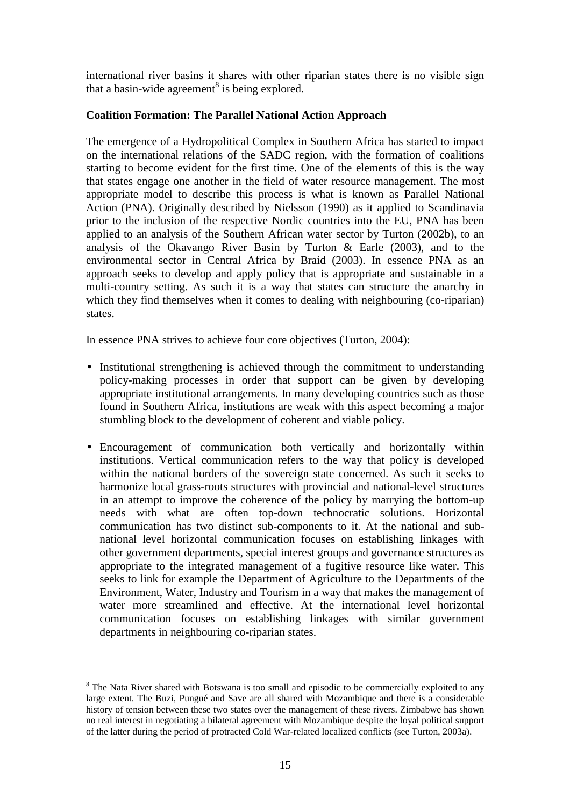international river basins it shares with other riparian states there is no visible sign that a basin-wide agreement<sup>8</sup> is being explored.

### **Coalition Formation: The Parallel National Action Approach**

The emergence of a Hydropolitical Complex in Southern Africa has started to impact on the international relations of the SADC region, with the formation of coalitions starting to become evident for the first time. One of the elements of this is the way that states engage one another in the field of water resource management. The most appropriate model to describe this process is what is known as Parallel National Action (PNA). Originally described by Nielsson (1990) as it applied to Scandinavia prior to the inclusion of the respective Nordic countries into the EU, PNA has been applied to an analysis of the Southern African water sector by Turton (2002b), to an analysis of the Okavango River Basin by Turton & Earle (2003), and to the environmental sector in Central Africa by Braid (2003). In essence PNA as an approach seeks to develop and apply policy that is appropriate and sustainable in a multi-country setting. As such it is a way that states can structure the anarchy in which they find themselves when it comes to dealing with neighbouring (co-riparian) states.

In essence PNA strives to achieve four core objectives (Turton, 2004):

- Institutional strengthening is achieved through the commitment to understanding policy-making processes in order that support can be given by developing appropriate institutional arrangements. In many developing countries such as those found in Southern Africa, institutions are weak with this aspect becoming a major stumbling block to the development of coherent and viable policy.
- Encouragement of communication both vertically and horizontally within institutions. Vertical communication refers to the way that policy is developed within the national borders of the sovereign state concerned. As such it seeks to harmonize local grass-roots structures with provincial and national-level structures in an attempt to improve the coherence of the policy by marrying the bottom-up needs with what are often top-down technocratic solutions. Horizontal communication has two distinct sub-components to it. At the national and subnational level horizontal communication focuses on establishing linkages with other government departments, special interest groups and governance structures as appropriate to the integrated management of a fugitive resource like water. This seeks to link for example the Department of Agriculture to the Departments of the Environment, Water, Industry and Tourism in a way that makes the management of water more streamlined and effective. At the international level horizontal communication focuses on establishing linkages with similar government departments in neighbouring co-riparian states.

 $\overline{a}$ <sup>8</sup> The Nata River shared with Botswana is too small and episodic to be commercially exploited to any large extent. The Buzi, Pungué and Save are all shared with Mozambique and there is a considerable history of tension between these two states over the management of these rivers. Zimbabwe has shown no real interest in negotiating a bilateral agreement with Mozambique despite the loyal political support of the latter during the period of protracted Cold War-related localized conflicts (see Turton, 2003a).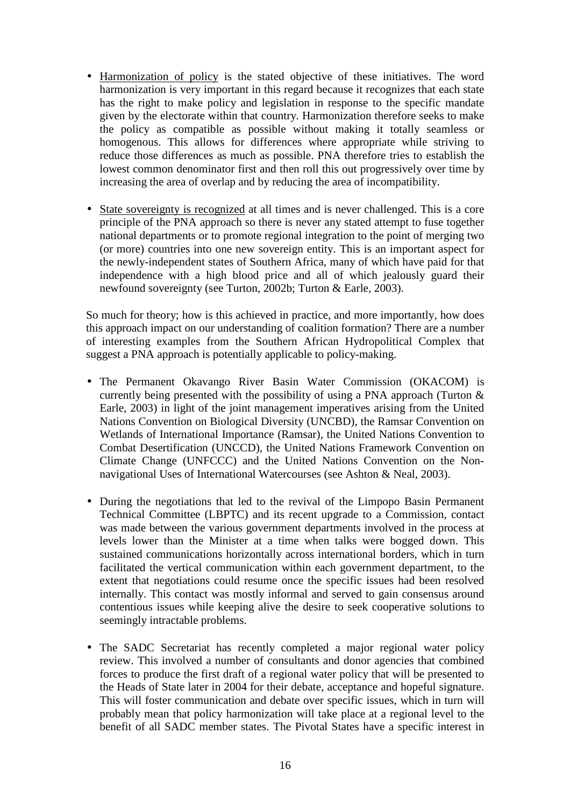- Harmonization of policy is the stated objective of these initiatives. The word harmonization is very important in this regard because it recognizes that each state has the right to make policy and legislation in response to the specific mandate given by the electorate within that country. Harmonization therefore seeks to make the policy as compatible as possible without making it totally seamless or homogenous. This allows for differences where appropriate while striving to reduce those differences as much as possible. PNA therefore tries to establish the lowest common denominator first and then roll this out progressively over time by increasing the area of overlap and by reducing the area of incompatibility.
- State sovereignty is recognized at all times and is never challenged. This is a core principle of the PNA approach so there is never any stated attempt to fuse together national departments or to promote regional integration to the point of merging two (or more) countries into one new sovereign entity. This is an important aspect for the newly-independent states of Southern Africa, many of which have paid for that independence with a high blood price and all of which jealously guard their newfound sovereignty (see Turton, 2002b; Turton & Earle, 2003).

So much for theory; how is this achieved in practice, and more importantly, how does this approach impact on our understanding of coalition formation? There are a number of interesting examples from the Southern African Hydropolitical Complex that suggest a PNA approach is potentially applicable to policy-making.

- The Permanent Okavango River Basin Water Commission (OKACOM) is currently being presented with the possibility of using a PNA approach (Turton & Earle, 2003) in light of the joint management imperatives arising from the United Nations Convention on Biological Diversity (UNCBD), the Ramsar Convention on Wetlands of International Importance (Ramsar), the United Nations Convention to Combat Desertification (UNCCD), the United Nations Framework Convention on Climate Change (UNFCCC) and the United Nations Convention on the Nonnavigational Uses of International Watercourses (see Ashton & Neal, 2003).
- During the negotiations that led to the revival of the Limpopo Basin Permanent Technical Committee (LBPTC) and its recent upgrade to a Commission, contact was made between the various government departments involved in the process at levels lower than the Minister at a time when talks were bogged down. This sustained communications horizontally across international borders, which in turn facilitated the vertical communication within each government department, to the extent that negotiations could resume once the specific issues had been resolved internally. This contact was mostly informal and served to gain consensus around contentious issues while keeping alive the desire to seek cooperative solutions to seemingly intractable problems.
- The SADC Secretariat has recently completed a major regional water policy review. This involved a number of consultants and donor agencies that combined forces to produce the first draft of a regional water policy that will be presented to the Heads of State later in 2004 for their debate, acceptance and hopeful signature. This will foster communication and debate over specific issues, which in turn will probably mean that policy harmonization will take place at a regional level to the benefit of all SADC member states. The Pivotal States have a specific interest in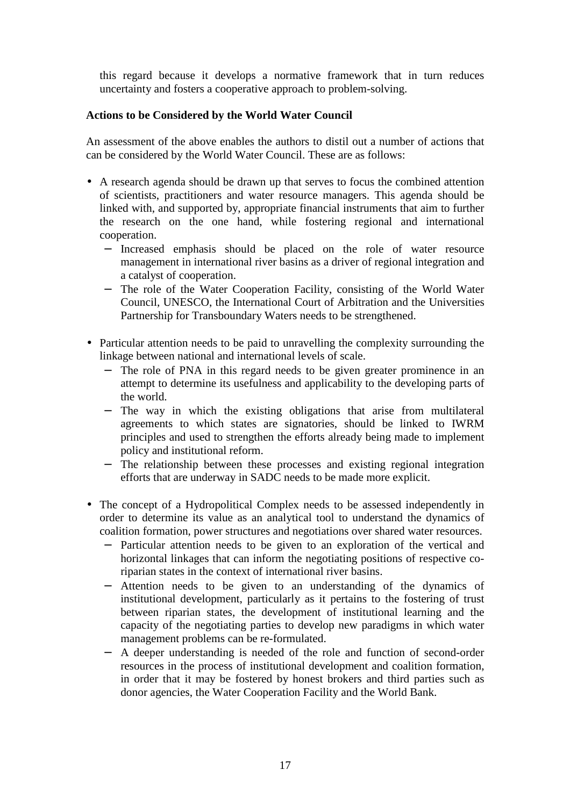this regard because it develops a normative framework that in turn reduces uncertainty and fosters a cooperative approach to problem-solving.

# **Actions to be Considered by the World Water Council**

An assessment of the above enables the authors to distil out a number of actions that can be considered by the World Water Council. These are as follows:

- A research agenda should be drawn up that serves to focus the combined attention of scientists, practitioners and water resource managers. This agenda should be linked with, and supported by, appropriate financial instruments that aim to further the research on the one hand, while fostering regional and international cooperation.
	- − Increased emphasis should be placed on the role of water resource management in international river basins as a driver of regional integration and a catalyst of cooperation.
	- − The role of the Water Cooperation Facility, consisting of the World Water Council, UNESCO, the International Court of Arbitration and the Universities Partnership for Transboundary Waters needs to be strengthened.
- Particular attention needs to be paid to unravelling the complexity surrounding the linkage between national and international levels of scale.
	- − The role of PNA in this regard needs to be given greater prominence in an attempt to determine its usefulness and applicability to the developing parts of the world.
	- − The way in which the existing obligations that arise from multilateral agreements to which states are signatories, should be linked to IWRM principles and used to strengthen the efforts already being made to implement policy and institutional reform.
	- − The relationship between these processes and existing regional integration efforts that are underway in SADC needs to be made more explicit.
- The concept of a Hydropolitical Complex needs to be assessed independently in order to determine its value as an analytical tool to understand the dynamics of coalition formation, power structures and negotiations over shared water resources.
	- − Particular attention needs to be given to an exploration of the vertical and horizontal linkages that can inform the negotiating positions of respective coriparian states in the context of international river basins.
	- − Attention needs to be given to an understanding of the dynamics of institutional development, particularly as it pertains to the fostering of trust between riparian states, the development of institutional learning and the capacity of the negotiating parties to develop new paradigms in which water management problems can be re-formulated.
	- − A deeper understanding is needed of the role and function of second-order resources in the process of institutional development and coalition formation, in order that it may be fostered by honest brokers and third parties such as donor agencies, the Water Cooperation Facility and the World Bank.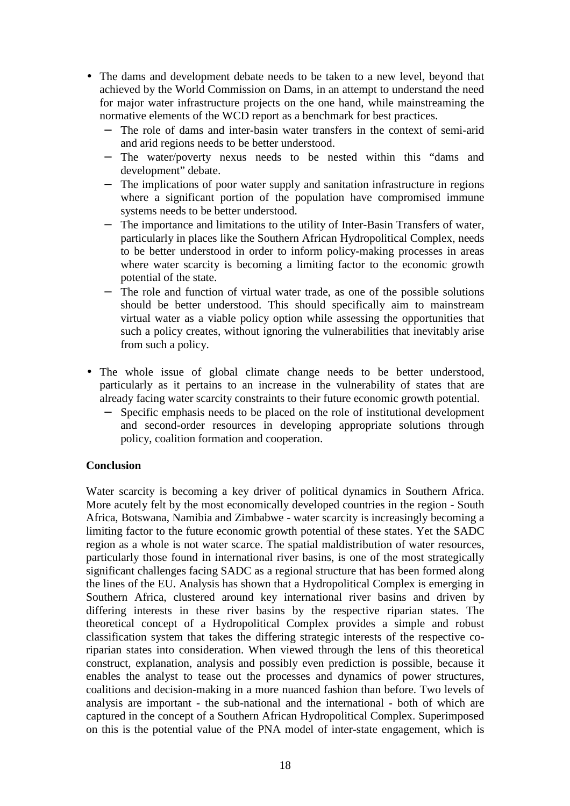- The dams and development debate needs to be taken to a new level, beyond that achieved by the World Commission on Dams, in an attempt to understand the need for major water infrastructure projects on the one hand, while mainstreaming the normative elements of the WCD report as a benchmark for best practices.
	- The role of dams and inter-basin water transfers in the context of semi-arid and arid regions needs to be better understood.
	- − The water/poverty nexus needs to be nested within this "dams and development" debate.
	- − The implications of poor water supply and sanitation infrastructure in regions where a significant portion of the population have compromised immune systems needs to be better understood.
	- − The importance and limitations to the utility of Inter-Basin Transfers of water, particularly in places like the Southern African Hydropolitical Complex, needs to be better understood in order to inform policy-making processes in areas where water scarcity is becoming a limiting factor to the economic growth potential of the state.
	- − The role and function of virtual water trade, as one of the possible solutions should be better understood. This should specifically aim to mainstream virtual water as a viable policy option while assessing the opportunities that such a policy creates, without ignoring the vulnerabilities that inevitably arise from such a policy.
- The whole issue of global climate change needs to be better understood, particularly as it pertains to an increase in the vulnerability of states that are already facing water scarcity constraints to their future economic growth potential.
	- − Specific emphasis needs to be placed on the role of institutional development and second-order resources in developing appropriate solutions through policy, coalition formation and cooperation.

### **Conclusion**

Water scarcity is becoming a key driver of political dynamics in Southern Africa. More acutely felt by the most economically developed countries in the region - South Africa, Botswana, Namibia and Zimbabwe - water scarcity is increasingly becoming a limiting factor to the future economic growth potential of these states. Yet the SADC region as a whole is not water scarce. The spatial maldistribution of water resources, particularly those found in international river basins, is one of the most strategically significant challenges facing SADC as a regional structure that has been formed along the lines of the EU. Analysis has shown that a Hydropolitical Complex is emerging in Southern Africa, clustered around key international river basins and driven by differing interests in these river basins by the respective riparian states. The theoretical concept of a Hydropolitical Complex provides a simple and robust classification system that takes the differing strategic interests of the respective coriparian states into consideration. When viewed through the lens of this theoretical construct, explanation, analysis and possibly even prediction is possible, because it enables the analyst to tease out the processes and dynamics of power structures, coalitions and decision-making in a more nuanced fashion than before. Two levels of analysis are important - the sub-national and the international - both of which are captured in the concept of a Southern African Hydropolitical Complex. Superimposed on this is the potential value of the PNA model of inter-state engagement, which is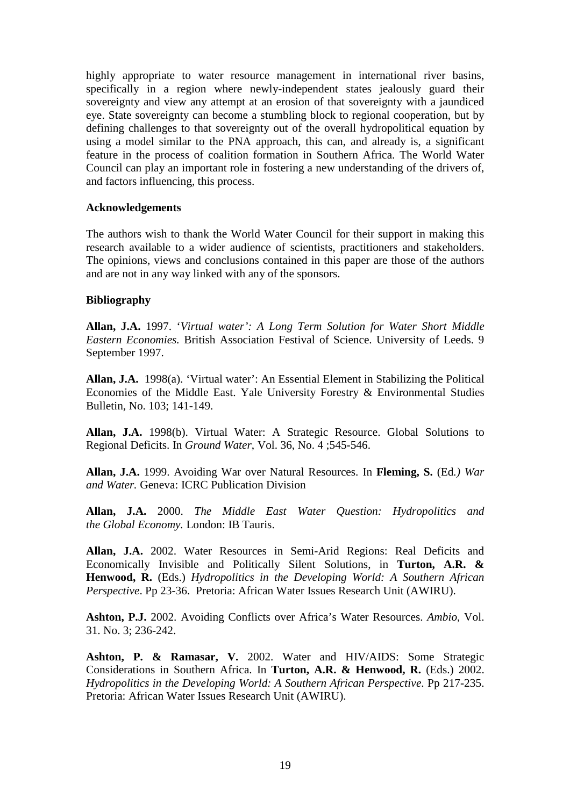highly appropriate to water resource management in international river basins, specifically in a region where newly-independent states jealously guard their sovereignty and view any attempt at an erosion of that sovereignty with a jaundiced eye. State sovereignty can become a stumbling block to regional cooperation, but by defining challenges to that sovereignty out of the overall hydropolitical equation by using a model similar to the PNA approach, this can, and already is, a significant feature in the process of coalition formation in Southern Africa. The World Water Council can play an important role in fostering a new understanding of the drivers of, and factors influencing, this process.

### **Acknowledgements**

The authors wish to thank the World Water Council for their support in making this research available to a wider audience of scientists, practitioners and stakeholders. The opinions, views and conclusions contained in this paper are those of the authors and are not in any way linked with any of the sponsors.

#### **Bibliography**

**Allan, J.A.** 1997. '*Virtual water': A Long Term Solution for Water Short Middle Eastern Economies.* British Association Festival of Science. University of Leeds. 9 September 1997.

**Allan, J.A.** 1998(a). 'Virtual water': An Essential Element in Stabilizing the Political Economies of the Middle East. Yale University Forestry & Environmental Studies Bulletin, No. 103; 141-149.

**Allan, J.A.** 1998(b). Virtual Water: A Strategic Resource. Global Solutions to Regional Deficits. In *Ground Water*, Vol. 36, No. 4 ;545-546.

**Allan, J.A.** 1999. Avoiding War over Natural Resources. In **Fleming, S.** (Ed*.) War and Water.* Geneva: ICRC Publication Division

**Allan, J.A.** 2000. *The Middle East Water Question: Hydropolitics and the Global Economy.* London: IB Tauris.

**Allan, J.A.** 2002. Water Resources in Semi-Arid Regions: Real Deficits and Economically Invisible and Politically Silent Solutions, in **Turton, A.R. & Henwood, R.** (Eds.) *Hydropolitics in the Developing World: A Southern African Perspective*. Pp 23-36. Pretoria: African Water Issues Research Unit (AWIRU).

**Ashton, P.J.** 2002. Avoiding Conflicts over Africa's Water Resources. *Ambio*, Vol. 31. No. 3; 236-242.

**Ashton, P. & Ramasar, V.** 2002. Water and HIV/AIDS: Some Strategic Considerations in Southern Africa. In **Turton, A.R. & Henwood, R.** (Eds.) 2002. *Hydropolitics in the Developing World: A Southern African Perspective*. Pp 217-235. Pretoria: African Water Issues Research Unit (AWIRU).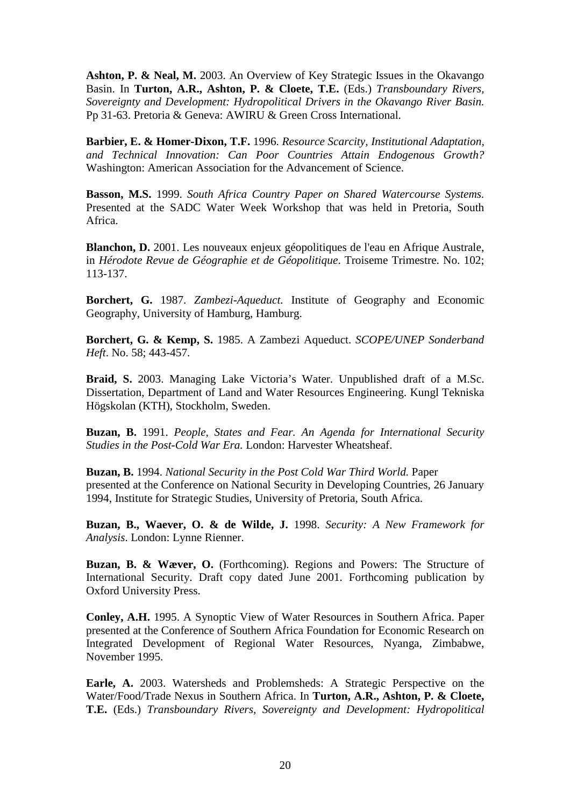**Ashton, P. & Neal, M.** 2003. An Overview of Key Strategic Issues in the Okavango Basin. In **Turton, A.R., Ashton, P. & Cloete, T.E.** (Eds.) *Transboundary Rivers, Sovereignty and Development: Hydropolitical Drivers in the Okavango River Basin.* Pp 31-63. Pretoria & Geneva: AWIRU & Green Cross International.

**Barbier, E. & Homer-Dixon, T.F.** 1996. *Resource Scarcity, Institutional Adaptation, and Technical Innovation: Can Poor Countries Attain Endogenous Growth?* Washington: American Association for the Advancement of Science.

**Basson, M.S.** 1999. *South Africa Country Paper on Shared Watercourse Systems.* Presented at the SADC Water Week Workshop that was held in Pretoria, South Africa.

**Blanchon, D.** 2001. Les nouveaux enjeux géopolitiques de l'eau en Afrique Australe, in *Hérodote Revue de Géographie et de Géopolitique*. Troiseme Trimestre. No. 102; 113-137.

**Borchert, G.** 1987. *Zambezi-Aqueduct.* Institute of Geography and Economic Geography, University of Hamburg, Hamburg.

**Borchert, G. & Kemp, S.** 1985. A Zambezi Aqueduct. *SCOPE/UNEP Sonderband Heft*. No. 58; 443-457.

**Braid, S.** 2003. Managing Lake Victoria's Water. Unpublished draft of a M.Sc. Dissertation, Department of Land and Water Resources Engineering. Kungl Tekniska Högskolan (KTH), Stockholm, Sweden.

**Buzan, B.** 1991. *People, States and Fear. An Agenda for International Security Studies in the Post-Cold War Era.* London: Harvester Wheatsheaf.

**Buzan, B.** 1994. *National Security in the Post Cold War Third World.* Paper presented at the Conference on National Security in Developing Countries, 26 January 1994, Institute for Strategic Studies, University of Pretoria, South Africa.

**Buzan, B., Waever, O. & de Wilde, J.** 1998. *Security: A New Framework for Analysis*. London: Lynne Rienner.

**Buzan, B. & Wæver, O.** (Forthcoming). Regions and Powers: The Structure of International Security. Draft copy dated June 2001. Forthcoming publication by Oxford University Press.

**Conley, A.H.** 1995. A Synoptic View of Water Resources in Southern Africa. Paper presented at the Conference of Southern Africa Foundation for Economic Research on Integrated Development of Regional Water Resources, Nyanga, Zimbabwe, November 1995.

**Earle, A.** 2003. Watersheds and Problemsheds: A Strategic Perspective on the Water/Food/Trade Nexus in Southern Africa. In **Turton, A.R., Ashton, P. & Cloete, T.E.** (Eds.) *Transboundary Rivers, Sovereignty and Development: Hydropolitical*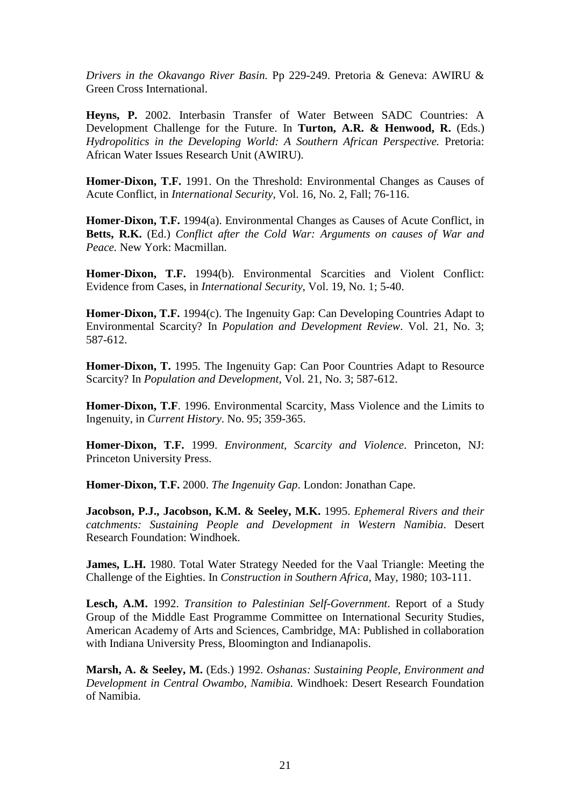*Drivers in the Okavango River Basin.* Pp 229-249. Pretoria & Geneva: AWIRU & Green Cross International.

**Heyns, P.** 2002. Interbasin Transfer of Water Between SADC Countries: A Development Challenge for the Future. In **Turton, A.R. & Henwood, R.** (Eds.) *Hydropolitics in the Developing World: A Southern African Perspective.* Pretoria: African Water Issues Research Unit (AWIRU).

**Homer-Dixon, T.F.** 1991. On the Threshold: Environmental Changes as Causes of Acute Conflict, in *International Security,* Vol. 16, No. 2, Fall; 76-116.

**Homer-Dixon, T.F.** 1994(a). Environmental Changes as Causes of Acute Conflict, in **Betts, R.K.** (Ed.) *Conflict after the Cold War: Arguments on causes of War and Peace.* New York: Macmillan.

**Homer-Dixon, T.F.** 1994(b). Environmental Scarcities and Violent Conflict: Evidence from Cases, in *International Security*, Vol. 19, No. 1; 5-40.

**Homer-Dixon, T.F.** 1994(c). The Ingenuity Gap: Can Developing Countries Adapt to Environmental Scarcity? In *Population and Development Review*. Vol. 21, No. 3; 587-612.

**Homer-Dixon, T.** 1995. The Ingenuity Gap: Can Poor Countries Adapt to Resource Scarcity? In *Population and Development*, Vol. 21, No. 3; 587-612.

**Homer-Dixon, T.F**. 1996. Environmental Scarcity, Mass Violence and the Limits to Ingenuity, in *Current History*. No. 95; 359-365.

**Homer-Dixon, T.F.** 1999. *Environment, Scarcity and Violence*. Princeton, NJ: Princeton University Press.

**Homer-Dixon, T.F.** 2000. *The Ingenuity Gap*. London: Jonathan Cape.

**Jacobson, P.J., Jacobson, K.M. & Seeley, M.K.** 1995. *Ephemeral Rivers and their catchments: Sustaining People and Development in Western Namibia*. Desert Research Foundation: Windhoek.

**James, L.H.** 1980. Total Water Strategy Needed for the Vaal Triangle: Meeting the Challenge of the Eighties. In *Construction in Southern Africa*, May, 1980; 103-111.

**Lesch, A.M.** 1992. *Transition to Palestinian Self-Government*. Report of a Study Group of the Middle East Programme Committee on International Security Studies, American Academy of Arts and Sciences, Cambridge, MA: Published in collaboration with Indiana University Press, Bloomington and Indianapolis.

**Marsh, A. & Seeley, M.** (Eds.) 1992. *Oshanas: Sustaining People, Environment and Development in Central Owambo, Namibia.* Windhoek: Desert Research Foundation of Namibia.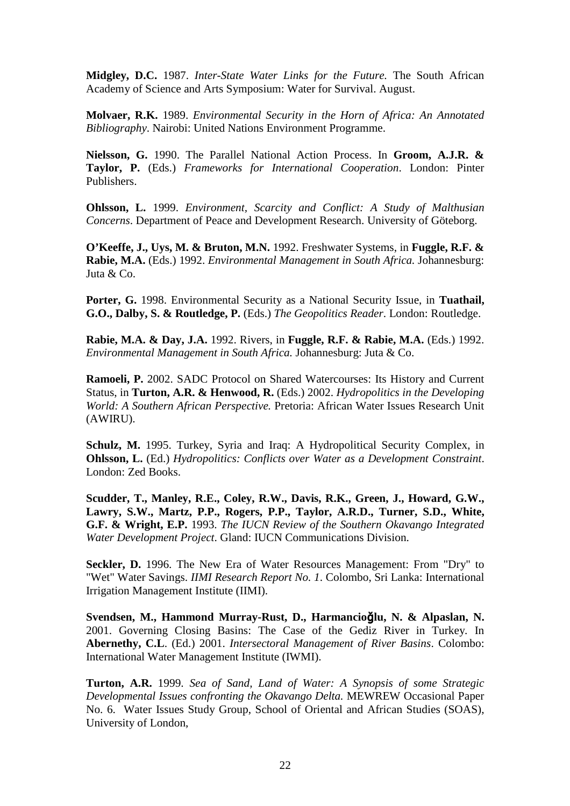**Midgley, D.C.** 1987. *Inter-State Water Links for the Future.* The South African Academy of Science and Arts Symposium: Water for Survival. August.

**Molvaer, R.K.** 1989. *Environmental Security in the Horn of Africa: An Annotated Bibliography*. Nairobi: United Nations Environment Programme.

**Nielsson, G.** 1990. The Parallel National Action Process. In **Groom, A.J.R. & Taylor, P.** (Eds.) *Frameworks for International Cooperation*. London: Pinter Publishers.

**Ohlsson, L.** 1999. *Environment, Scarcity and Conflict: A Study of Malthusian Concerns*. Department of Peace and Development Research. University of Göteborg.

**O'Keeffe, J., Uys, M. & Bruton, M.N.** 1992. Freshwater Systems, in **Fuggle, R.F. & Rabie, M.A.** (Eds.) 1992. *Environmental Management in South Africa.* Johannesburg: Juta & Co.

**Porter, G.** 1998. Environmental Security as a National Security Issue, in **Tuathail, G.O., Dalby, S. & Routledge, P.** (Eds.) *The Geopolitics Reader*. London: Routledge.

**Rabie, M.A. & Day, J.A.** 1992. Rivers, in **Fuggle, R.F. & Rabie, M.A.** (Eds.) 1992. *Environmental Management in South Africa.* Johannesburg: Juta & Co.

**Ramoeli, P.** 2002. SADC Protocol on Shared Watercourses: Its History and Current Status, in **Turton, A.R. & Henwood, R.** (Eds.) 2002. *Hydropolitics in the Developing World: A Southern African Perspective.* Pretoria: African Water Issues Research Unit (AWIRU).

**Schulz, M.** 1995. Turkey, Syria and Iraq: A Hydropolitical Security Complex, in **Ohlsson, L.** (Ed.) *Hydropolitics: Conflicts over Water as a Development Constraint*. London: Zed Books.

**Scudder, T., Manley, R.E., Coley, R.W., Davis, R.K., Green, J., Howard, G.W., Lawry, S.W., Martz, P.P., Rogers, P.P., Taylor, A.R.D., Turner, S.D., White, G.F. & Wright, E.P.** 1993. *The IUCN Review of the Southern Okavango Integrated Water Development Project*. Gland: IUCN Communications Division.

Seckler, D. 1996. The New Era of Water Resources Management: From "Dry" to "Wet" Water Savings. *IIMI Research Report No. 1*. Colombo, Sri Lanka: International Irrigation Management Institute (IIMI).

**Svendsen, M., Hammond Murray-Rust, D., Harmancio**ğ**lu, N. & Alpaslan, N.** 2001. Governing Closing Basins: The Case of the Gediz River in Turkey*.* In **Abernethy, C.L**. (Ed.) 2001. *Intersectoral Management of River Basins*. Colombo: International Water Management Institute (IWMI).

**Turton, A.R.** 1999. *Sea of Sand, Land of Water: A Synopsis of some Strategic Developmental Issues confronting the Okavango Delta.* MEWREW Occasional Paper No. 6. Water Issues Study Group, School of Oriental and African Studies (SOAS), University of London,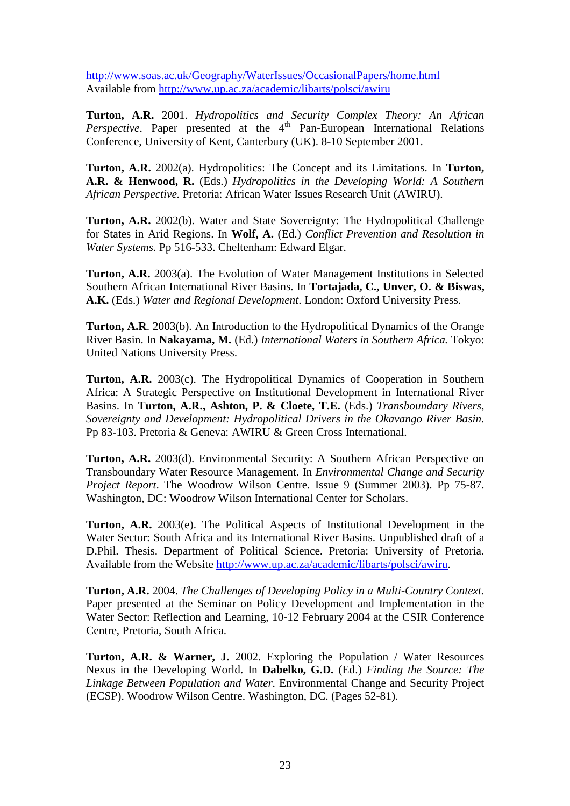http://www.soas.ac.uk/Geography/WaterIssues/OccasionalPapers/home.html Available from http://www.up.ac.za/academic/libarts/polsci/awiru

**Turton, A.R.** 2001. *Hydropolitics and Security Complex Theory: An African Perspective*. Paper presented at the 4<sup>th</sup> Pan-European International Relations Conference, University of Kent, Canterbury (UK). 8-10 September 2001.

**Turton, A.R.** 2002(a). Hydropolitics: The Concept and its Limitations. In **Turton, A.R. & Henwood, R.** (Eds.) *Hydropolitics in the Developing World: A Southern African Perspective.* Pretoria: African Water Issues Research Unit (AWIRU).

**Turton, A.R.** 2002(b). Water and State Sovereignty: The Hydropolitical Challenge for States in Arid Regions. In **Wolf, A.** (Ed.) *Conflict Prevention and Resolution in Water Systems.* Pp 516-533. Cheltenham: Edward Elgar.

**Turton, A.R.** 2003(a). The Evolution of Water Management Institutions in Selected Southern African International River Basins. In **Tortajada, C., Unver, O. & Biswas, A.K.** (Eds.) *Water and Regional Development*. London: Oxford University Press.

**Turton, A.R**. 2003(b). An Introduction to the Hydropolitical Dynamics of the Orange River Basin. In **Nakayama, M.** (Ed.) *International Waters in Southern Africa.* Tokyo: United Nations University Press.

**Turton, A.R.** 2003(c). The Hydropolitical Dynamics of Cooperation in Southern Africa: A Strategic Perspective on Institutional Development in International River Basins. In **Turton, A.R., Ashton, P. & Cloete, T.E.** (Eds.) *Transboundary Rivers, Sovereignty and Development: Hydropolitical Drivers in the Okavango River Basin.* Pp 83-103. Pretoria & Geneva: AWIRU & Green Cross International.

**Turton, A.R.** 2003(d). Environmental Security: A Southern African Perspective on Transboundary Water Resource Management. In *Environmental Change and Security Project Report*. The Woodrow Wilson Centre. Issue 9 (Summer 2003). Pp 75-87. Washington, DC: Woodrow Wilson International Center for Scholars.

**Turton, A.R.** 2003(e). The Political Aspects of Institutional Development in the Water Sector: South Africa and its International River Basins. Unpublished draft of a D.Phil. Thesis. Department of Political Science. Pretoria: University of Pretoria. Available from the Website http://www.up.ac.za/academic/libarts/polsci/awiru.

**Turton, A.R.** 2004. *The Challenges of Developing Policy in a Multi-Country Context.*  Paper presented at the Seminar on Policy Development and Implementation in the Water Sector: Reflection and Learning, 10-12 February 2004 at the CSIR Conference Centre, Pretoria, South Africa.

**Turton, A.R. & Warner, J.** 2002. Exploring the Population / Water Resources Nexus in the Developing World. In **Dabelko, G.D.** (Ed.) *Finding the Source: The Linkage Between Population and Water.* Environmental Change and Security Project (ECSP). Woodrow Wilson Centre. Washington, DC. (Pages 52-81).